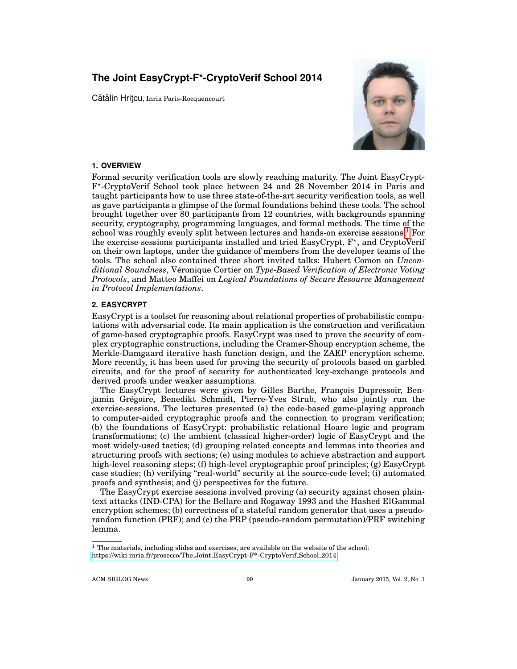# **The Joint EasyCrypt-F\*-CryptoVerif School 2014**

Cătălin Hritcu, Inria Paris-Rocquencourt



## **1. OVERVIEW**

Formal security verification tools are slowly reaching maturity. The Joint EasyCrypt-F ? -CryptoVerif School took place between 24 and 28 November 2014 in Paris and taught participants how to use three state-of-the-art security verification tools, as well as gave participants a glimpse of the formal foundations behind these tools. The school brought together over 80 participants from 12 countries, with backgrounds spanning security, cryptography, programming languages, and formal methods. The time of the school was roughly evenly split between lectures and hands-on exercise sessions.[1](#page-0-0) For the exercise sessions participants installed and tried EasyCrypt,  $F^*$ , and CryptoVerif on their own laptops, under the guidance of members from the developer teams of the tools. The school also contained three short invited talks: Hubert Comon on *Unconditional Soundness*, Veronique Cortier on ´ *Type-Based Verification of Electronic Voting Protocols*, and Matteo Maffei on *Logical Foundations of Secure Resource Management in Protocol Implementations*.

### **2. EASYCRYPT**

EasyCrypt is a toolset for reasoning about relational properties of probabilistic computations with adversarial code. Its main application is the construction and verification of game-based cryptographic proofs. EasyCrypt was used to prove the security of complex cryptographic constructions, including the Cramer-Shoup encryption scheme, the Merkle-Damgaard iterative hash function design, and the ZAEP encryption scheme. More recently, it has been used for proving the security of protocols based on garbled circuits, and for the proof of security for authenticated key-exchange protocols and derived proofs under weaker assumptions.

The EasyCrypt lectures were given by Gilles Barthe, François Dupressoir, Benjamin Gregoire, Benedikt Schmidt, Pierre-Yves Strub, who also jointly run the ´ exercise-sessions. The lectures presented (a) the code-based game-playing approach to computer-aided cryptographic proofs and the connection to program verification; (b) the foundations of EasyCrypt: probabilistic relational Hoare logic and program transformations; (c) the ambient (classical higher-order) logic of EasyCrypt and the most widely-used tactics; (d) grouping related concepts and lemmas into theories and structuring proofs with sections; (e) using modules to achieve abstraction and support high-level reasoning steps; (f) high-level cryptographic proof principles; (g) EasyCrypt case studies; (h) verifying "real-world" security at the source-code level; (i) automated proofs and synthesis; and (j) perspectives for the future.

The EasyCrypt exercise sessions involved proving (a) security against chosen plaintext attacks (IND-CPA) for the Bellare and Rogaway 1993 and the Hashed ElGammal encryption schemes; (b) correctness of a stateful random generator that uses a pseudorandom function (PRF); and (c) the PRP (pseudo-random permutation)/PRF switching lemma.

ACM SIGLOG News 99 39 January 2015, Vol. 2, No. 1

<span id="page-0-0"></span> $^{\rm 1}$  The materials, including slides and exercises, are available on the website of the school: [https://wiki.inria.fr/prosecco/The](https://wiki.inria.fr/prosecco/The_Joint_EasyCrypt-F*-CryptoVerif_School_2014) Joint EasyCrypt-F\*-CryptoVerif School 2014